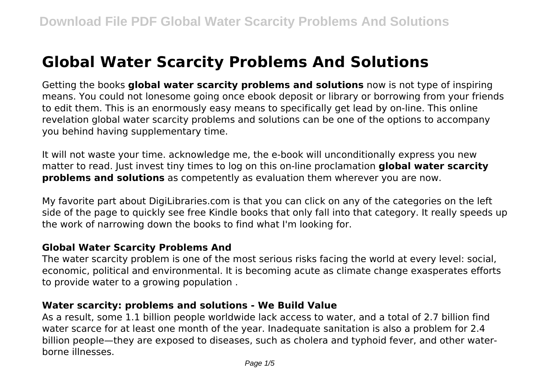# **Global Water Scarcity Problems And Solutions**

Getting the books **global water scarcity problems and solutions** now is not type of inspiring means. You could not lonesome going once ebook deposit or library or borrowing from your friends to edit them. This is an enormously easy means to specifically get lead by on-line. This online revelation global water scarcity problems and solutions can be one of the options to accompany you behind having supplementary time.

It will not waste your time. acknowledge me, the e-book will unconditionally express you new matter to read. Just invest tiny times to log on this on-line proclamation **global water scarcity problems and solutions** as competently as evaluation them wherever you are now.

My favorite part about DigiLibraries.com is that you can click on any of the categories on the left side of the page to quickly see free Kindle books that only fall into that category. It really speeds up the work of narrowing down the books to find what I'm looking for.

# **Global Water Scarcity Problems And**

The water scarcity problem is one of the most serious risks facing the world at every level: social, economic, political and environmental. It is becoming acute as climate change exasperates efforts to provide water to a growing population .

## **Water scarcity: problems and solutions - We Build Value**

As a result, some 1.1 billion people worldwide lack access to water, and a total of 2.7 billion find water scarce for at least one month of the year. Inadequate sanitation is also a problem for 2.4 billion people—they are exposed to diseases, such as cholera and typhoid fever, and other waterborne illnesses.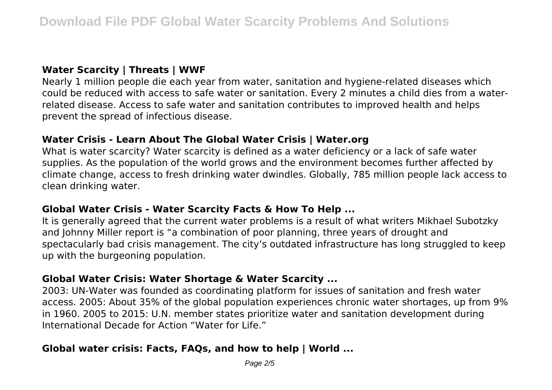## **Water Scarcity | Threats | WWF**

Nearly 1 million people die each year from water, sanitation and hygiene-related diseases which could be reduced with access to safe water or sanitation. Every 2 minutes a child dies from a waterrelated disease. Access to safe water and sanitation contributes to improved health and helps prevent the spread of infectious disease.

## **Water Crisis - Learn About The Global Water Crisis | Water.org**

What is water scarcity? Water scarcity is defined as a water deficiency or a lack of safe water supplies. As the population of the world grows and the environment becomes further affected by climate change, access to fresh drinking water dwindles. Globally, 785 million people lack access to clean drinking water.

## **Global Water Crisis - Water Scarcity Facts & How To Help ...**

It is generally agreed that the current water problems is a result of what writers Mikhael Subotzky and Johnny Miller report is "a combination of poor planning, three years of drought and spectacularly bad crisis management. The city's outdated infrastructure has long struggled to keep up with the burgeoning population.

## **Global Water Crisis: Water Shortage & Water Scarcity ...**

2003: UN-Water was founded as coordinating platform for issues of sanitation and fresh water access. 2005: About 35% of the global population experiences chronic water shortages, up from 9% in 1960. 2005 to 2015: U.N. member states prioritize water and sanitation development during International Decade for Action "Water for Life."

# **Global water crisis: Facts, FAQs, and how to help | World ...**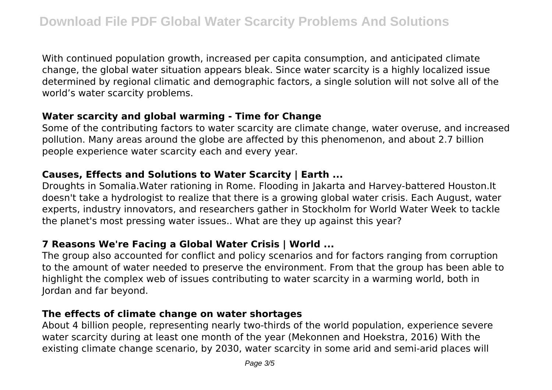With continued population growth, increased per capita consumption, and anticipated climate change, the global water situation appears bleak. Since water scarcity is a highly localized issue determined by regional climatic and demographic factors, a single solution will not solve all of the world's water scarcity problems.

## **Water scarcity and global warming - Time for Change**

Some of the contributing factors to water scarcity are climate change, water overuse, and increased pollution. Many areas around the globe are affected by this phenomenon, and about 2.7 billion people experience water scarcity each and every year.

#### **Causes, Effects and Solutions to Water Scarcity | Earth ...**

Droughts in Somalia.Water rationing in Rome. Flooding in Jakarta and Harvey-battered Houston.It doesn't take a hydrologist to realize that there is a growing global water crisis. Each August, water experts, industry innovators, and researchers gather in Stockholm for World Water Week to tackle the planet's most pressing water issues.. What are they up against this year?

# **7 Reasons We're Facing a Global Water Crisis | World ...**

The group also accounted for conflict and policy scenarios and for factors ranging from corruption to the amount of water needed to preserve the environment. From that the group has been able to highlight the complex web of issues contributing to water scarcity in a warming world, both in Jordan and far beyond.

## **The effects of climate change on water shortages**

About 4 billion people, representing nearly two-thirds of the world population, experience severe water scarcity during at least one month of the year (Mekonnen and Hoekstra, 2016) With the existing climate change scenario, by 2030, water scarcity in some arid and semi-arid places will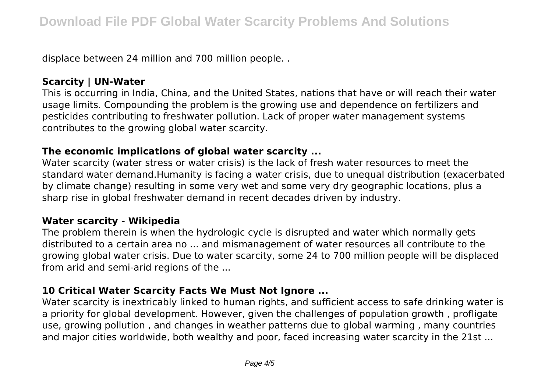displace between 24 million and 700 million people. .

# **Scarcity | UN-Water**

This is occurring in India, China, and the United States, nations that have or will reach their water usage limits. Compounding the problem is the growing use and dependence on fertilizers and pesticides contributing to freshwater pollution. Lack of proper water management systems contributes to the growing global water scarcity.

## **The economic implications of global water scarcity ...**

Water scarcity (water stress or water crisis) is the lack of fresh water resources to meet the standard water demand.Humanity is facing a water crisis, due to unequal distribution (exacerbated by climate change) resulting in some very wet and some very dry geographic locations, plus a sharp rise in global freshwater demand in recent decades driven by industry.

## **Water scarcity - Wikipedia**

The problem therein is when the hydrologic cycle is disrupted and water which normally gets distributed to a certain area no ... and mismanagement of water resources all contribute to the growing global water crisis. Due to water scarcity, some 24 to 700 million people will be displaced from arid and semi-arid regions of the ...

# **10 Critical Water Scarcity Facts We Must Not Ignore ...**

Water scarcity is inextricably linked to human rights, and sufficient access to safe drinking water is a priority for global development. However, given the challenges of population growth , profligate use, growing pollution , and changes in weather patterns due to global warming , many countries and major cities worldwide, both wealthy and poor, faced increasing water scarcity in the 21st ...